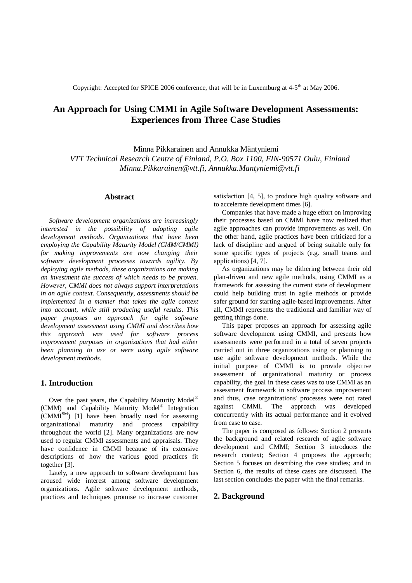Copyright: Accepted for SPICE 2006 conference, that will be in Luxemburg at  $4-5<sup>th</sup>$  at May 2006.

# **An Approach for Using CMMI in Agile Software Development Assessments: Experiences from Three Case Studies**

Minna Pikkarainen and Annukka Mäntyniemi *VTT Technical Research Centre of Finland, P.O. Box 1100, FIN-90571 Oulu, Finland [Minna.Pikkarainen@vtt.fi](mailto:Minna.Pikkarainen@vtt.fi), [Annukka.Mantyniemi@vtt.fi](mailto:Annukka.Mantyniemi@vtt.fi)*

# **Abstract**

*Software development organizations are increasingly interested in the possibility of adopting agile development methods. Organizations that have been employing the Capability Maturity Model (CMM/CMMI) for making improvements are now changing their software development processes towards agility. By deploying agile methods, these organizations are making an investment the success of which needs to be proven. However, CMMI does not always support interpretations in an agile context. Consequently, assessments should be implemented in a manner that takes the agile context into account, while still producing useful results. This paper proposes an approach for agile software development assessment using CMMI and describes how this approach was used for software process improvement purposes in organizations that had either been planning to use or were using agile software development methods.*

# **1. Introduction**

Over the past years, the Capability Maturity Model<sup>®</sup> (CMM) and Capability Maturity Model® Integration  $(CMMI^{SM})$  [1] have been broadly used for assessing organizational maturity and process capability throughout the world [2]. Many organizations are now used to regular CMMI assessments and appraisals. They have confidence in CMMI because of its extensive descriptions of how the various good practices fit together [3].

Lately, a new approach to software development has aroused wide interest among software development organizations. Agile software development methods, practices and techniques promise to increase customer

satisfaction [4, 5], to produce high quality software and to accelerate development times [6].

Companies that have made a huge effort on improving their processes based on CMMI have now realized that agile approaches can provide improvements as well. On the other hand, agile practices have been criticized for a lack of discipline and argued of being suitable only for some specific types of projects (e.g. small teams and applications) [4, 7].

As organizations may be dithering between their old plan-driven and new agile methods, using CMMI as a framework for assessing the current state of development could help building trust in agile methods or provide safer ground for starting agile-based improvements. After all, CMMI represents the traditional and familiar way of getting things done.

This paper proposes an approach for assessing agile software development using CMMI, and presents how assessments were performed in a total of seven projects carried out in three organizations using or planning to use agile software development methods. While the initial purpose of CMMI is to provide objective assessment of organizational maturity or process capability, the goal in these cases was to use CMMI as an assessment framework in software process improvement and thus, case organizations' processes were not rated against CMMI. The approach was developed concurrently with its actual performance and it evolved from case to case.

The paper is composed as follows: Section 2 presents the background and related research of agile software development and CMMI; Section 3 introduces the research context; Section 4 proposes the approach; Section 5 focuses on describing the case studies; and in Section 6, the results of these cases are discussed. The last section concludes the paper with the final remarks.

## **2. Background**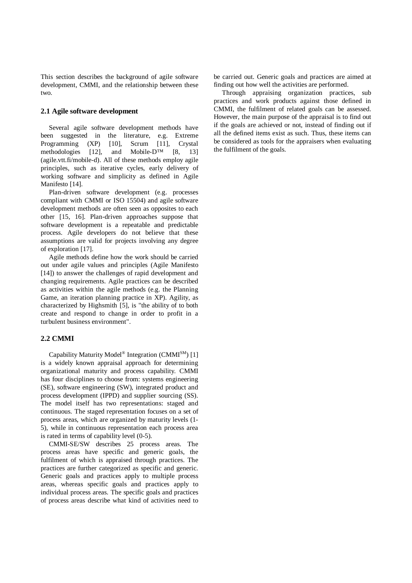This section describes the background of agile software development, CMMI, and the relationship between these two.

### **2.1 Agile software development**

Several agile software development methods have been suggested in the literature, e.g. Extreme Programming (XP) [10], Scrum [11], Crystal methodologies [12], and Mobile-D™ [8, 13] (agile.vtt.fi/mobile-d). All of these methods employ agile principles, such as iterative cycles, early delivery of working software and simplicity as defined in Agile Manifesto [14].

Plan-driven software development (e.g. processes compliant with CMMI or ISO 15504) and agile software development methods are often seen as opposites to each other [15, 16]. Plan-driven approaches suppose that software development is a repeatable and predictable process. Agile developers do not believe that these assumptions are valid for projects involving any degree of exploration [17].

Agile methods define how the work should be carried out under agile values and principles (Agile Manifesto [14]) to answer the challenges of rapid development and changing requirements. Agile practices can be described as activities within the agile methods (e.g. the Planning Game, an iteration planning practice in XP). Agility, as characterized by Highsmith [5], is "the ability of to both create and respond to change in order to profit in a turbulent business environment".

# **2.2 CMMI**

Capability Maturity Model<sup>®</sup> Integration (CMMI<sup>SM</sup>) [1] is a widely known appraisal approach for determining organizational maturity and process capability. CMMI has four disciplines to choose from: systems engineering (SE), software engineering (SW), integrated product and process development (IPPD) and supplier sourcing (SS). The model itself has two representations: staged and continuous. The staged representation focuses on a set of process areas, which are organized by maturity levels (1- 5), while in continuous representation each process area is rated in terms of capability level (0-5).

CMMI-SE/SW describes 25 process areas. The process areas have specific and generic goals, the fulfilment of which is appraised through practices. The practices are further categorized as specific and generic. Generic goals and practices apply to multiple process areas, whereas specific goals and practices apply to individual process areas. The specific goals and practices of process areas describe what kind of activities need to be carried out. Generic goals and practices are aimed at finding out how well the activities are performed.

Through appraising organization practices, sub practices and work products against those defined in CMMI, the fulfilment of related goals can be assessed. However, the main purpose of the appraisal is to find out if the goals are achieved or not, instead of finding out if all the defined items exist as such. Thus, these items can be considered as tools for the appraisers when evaluating the fulfilment of the goals.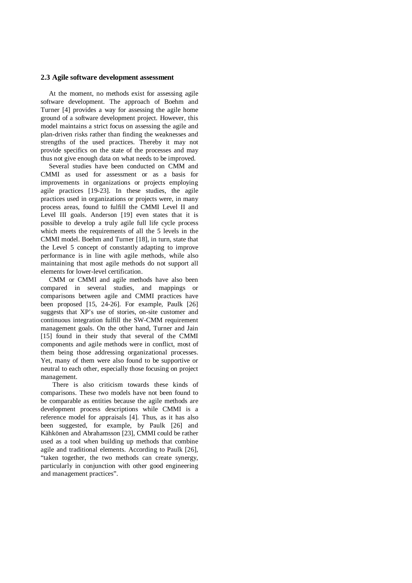#### **2.3 Agile software development assessment**

At the moment, no methods exist for assessing agile software development. The approach of Boehm and Turner [4] provides a way for assessing the agile home ground of a software development project. However, this model maintains a strict focus on assessing the agile and plan-driven risks rather than finding the weaknesses and strengths of the used practices. Thereby it may not provide specifics on the state of the processes and may thus not give enough data on what needs to be improved.

Several studies have been conducted on CMM and CMMI as used for assessment or as a basis for improvements in organizations or projects employing agile practices [19-23]. In these studies, the agile practices used in organizations or projects were, in many process areas, found to fulfill the CMMI Level II and Level III goals. Anderson [19] even states that it is possible to develop a truly agile full life cycle process which meets the requirements of all the 5 levels in the CMMI model. Boehm and Turner [18], in turn, state that the Level 5 concept of constantly adapting to improve performance is in line with agile methods, while also maintaining that most agile methods do not support all elements for lower-level certification.

CMM or CMMI and agile methods have also been compared in several studies, and mappings or comparisons between agile and CMMI practices have been proposed [15, 24-26]. For example, Paulk [26] suggests that XP's use of stories, on-site customer and continuous integration fulfill the SW-CMM requirement management goals. On the other hand, Turner and Jain [15] found in their study that several of the CMMI components and agile methods were in conflict, most of them being those addressing organizational processes. Yet, many of them were also found to be supportive or neutral to each other, especially those focusing on project management.

 There is also criticism towards these kinds of comparisons. These two models have not been found to be comparable as entities because the agile methods are development process descriptions while CMMI is a reference model for appraisals [4]. Thus, as it has also been suggested, for example, by Paulk [26] and Kähkönen and Abrahamsson [23], CMMI could be rather used as a tool when building up methods that combine agile and traditional elements. According to Paulk [26], "taken together, the two methods can create synergy, particularly in conjunction with other good engineering and management practices".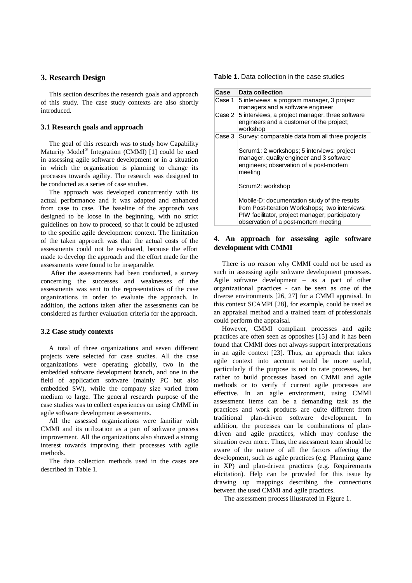### **3. Research Design**

This section describes the research goals and approach of this study. The case study contexts are also shortly introduced.

### **3.1 Research goals and approach**

The goal of this research was to study how Capability Maturity Model<sup>®</sup> Integration (CMMI) [1] could be used in assessing agile software development or in a situation in which the organization is planning to change its processes towards agility. The research was designed to be conducted as a series of case studies.

The approach was developed concurrently with its actual performance and it was adapted and enhanced from case to case. The baseline of the approach was designed to be loose in the beginning, with no strict guidelines on how to proceed, so that it could be adjusted to the specific agile development context. The limitation of the taken approach was that the actual costs of the assessments could not be evaluated, because the effort made to develop the approach and the effort made for the assessments were found to be inseparable.

 After the assessments had been conducted, a survey concerning the successes and weaknesses of the assessments was sent to the representatives of the case organizations in order to evaluate the approach. In addition, the actions taken after the assessments can be considered as further evaluation criteria for the approach.

#### **3.2 Case study contexts**

A total of three organizations and seven different projects were selected for case studies. All the case organizations were operating globally, two in the embedded software development branch, and one in the field of application software (mainly PC but also embedded SW), while the company size varied from medium to large. The general research purpose of the case studies was to collect experiences on using CMMI in agile software development assessments.

All the assessed organizations were familiar with CMMI and its utilization as a part of software process improvement. All the organizations also showed a strong interest towards improving their processes with agile methods.

The data collection methods used in the cases are described in Table 1.

| <b>Table 1.</b> Data collection in the case studies |  |  |  |
|-----------------------------------------------------|--|--|--|
|-----------------------------------------------------|--|--|--|

| Case   | Data collection                                                                                                                                                                           |
|--------|-------------------------------------------------------------------------------------------------------------------------------------------------------------------------------------------|
| Case 1 | 5 interviews: a program manager, 3 project<br>managers and a software engineer                                                                                                            |
| Case 2 | 5 interviews, a project manager, three software<br>engineers and a customer of the project;<br>workshop                                                                                   |
| Case 3 | Survey: comparable data from all three projects                                                                                                                                           |
|        | Scrum1: 2 workshops; 5 interviews: project<br>manager, quality engineer and 3 software<br>engineers; observation of a post-mortem<br>meeting                                              |
|        | Scrum2: workshop                                                                                                                                                                          |
|        | Mobile-D: documentation study of the results<br>from Post-Iteration Workshops; two interviews:<br>PIW facilitator, project manager; participatory<br>observation of a post-mortem meeting |

# **4. An approach for assessing agile software development with CMMI**

There is no reason why CMMI could not be used as such in assessing agile software development processes. Agile software development – as a part of other organizational practices - can be seen as one of the diverse environments [26, 27] for a CMMI appraisal. In this context SCAMPI [28], for example, could be used as an appraisal method and a trained team of professionals could perform the appraisal.

However, CMMI compliant processes and agile practices are often seen as opposites [15] and it has been found that CMMI does not always support interpretations in an agile context [23]. Thus, an approach that takes agile context into account would be more useful, particularly if the purpose is not to rate processes, but rather to build processes based on CMMI and agile methods or to verify if current agile processes are effective. In an agile environment, using CMMI assessment items can be a demanding task as the practices and work products are quite different from traditional plan-driven software development. In addition, the processes can be combinations of plandriven and agile practices, which may confuse the situation even more. Thus, the assessment team should be aware of the nature of all the factors affecting the development, such as agile practices (e.g. Planning game in XP) and plan-driven practices (e.g. Requirements elicitation). Help can be provided for this issue by drawing up mappings describing the connections between the used CMMI and agile practices.

The assessment process illustrated in Figure 1.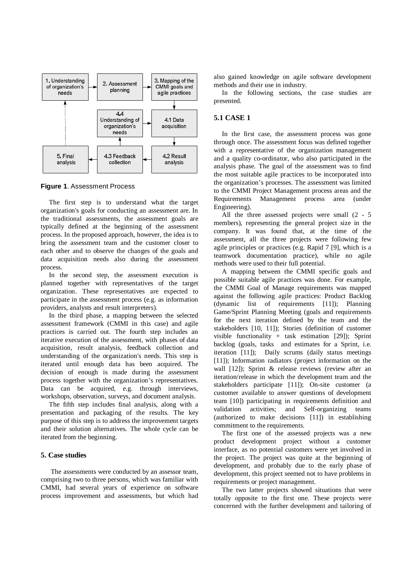

**Figure 1**. Assessment Process

The first step is to understand what the target organization's goals for conducting an assessment are. In the traditional assessments, the assessment goals are typically defined at the beginning of the assessment process. In the proposed approach, however, the idea is to bring the assessment team and the customer closer to each other and to observe the changes of the goals and data acquisition needs also during the assessment process.

In the second step, the assessment execution is planned together with representatives of the target organization. These representatives are expected to participate in the assessment process (e.g. as information providers, analysts and result interpreters).

In the third phase, a mapping between the selected assessment framework (CMMI in this case) and agile practices is carried out. The fourth step includes an iterative execution of the assessment, with phases of data acquisition, result analysis, feedback collection and understanding of the organization's needs. This step is iterated until enough data has been acquired. The decision of enough is made during the assessment process together with the organization's representatives. Data can be acquired, e.g. through interviews, workshops, observation, surveys, and document analysis.

The fifth step includes final analysis, along with a presentation and packaging of the results. The key purpose of this step is to address the improvement targets and their solution alternatives. The whole cycle can be iterated from the beginning.

### **5. Case studies**

 The assessments were conducted by an assessor team, comprising two to three persons, which was familiar with CMMI, had several years of experience on software process improvement and assessments, but which had also gained knowledge on agile software development methods and their use in industry.

In the following sections, the case studies are presented.

# **5.1 CASE 1**

In the first case, the assessment process was gone through once. The assessment focus was defined together with a representative of the organization management and a quality co-ordinator, who also participated in the analysis phase. The goal of the assessment was to find the most suitable agile practices to be incorporated into the organization's processes. The assessment was limited to the CMMI Project Management process areas and the Requirements Management process area (under Engineering).

All the three assessed projects were small (2 - 5 members), representing the general project size in the company. It was found that, at the time of the assessment, all the three projects were following few agile principles or practices (e.g. Rapid 7 [9], which is a teamwork documentation practice), while no agile methods were used to their full potential.

A mapping between the CMMI specific goals and possible suitable agile practices was done. For example, the CMMI Goal of Manage requirements was mapped against the following agile practices: Product Backlog (dynamic list of requirements [11]); Planning Game/Sprint Planning Meeting (goals and requirements for the next iteration defined by the team and the stakeholders [10, 11]); Stories (definition of customer visible functionality + task estimation [29]); Sprint backlog (goals, tasks and estimates for a Sprint, i.e. iteration [11]); Daily scrums (daily status meetings [11]); Information radiators (project information on the wall [12]); Sprint & release reviews (review after an iteration/release in which the development team and the stakeholders participate [11]); On-site customer (a customer available to answer questions of development team [10]) participating in requirements definition and validation activities; and Self-organizing teams (authorized to make decisions [11]) in establishing commitment to the requirements.

The first one of the assessed projects was a new product development project without a customer interface, as no potential customers were yet involved in the project. The project was quite at the beginning of development, and probably due to the early phase of development, this project seemed not to have problems in requirements or project management.

The two latter projects showed situations that were totally opposite to the first one. These projects were concerned with the further development and tailoring of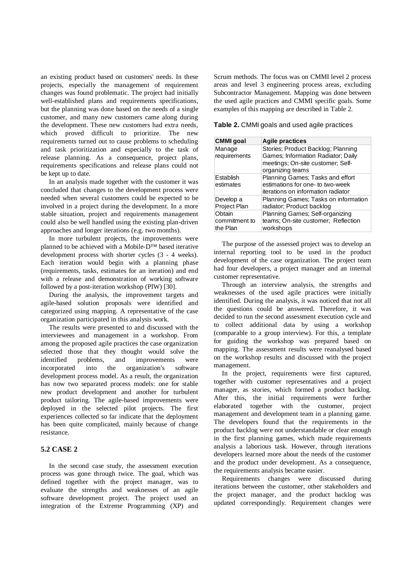an existing product based on customers' needs. In these projects, especially the management of requirement changes was found problematic. The project had initially well-established plans and requirements specifications, but the planning was done based on the needs of a single customer, and many new customers came along during the development. These new customers had extra needs, which proved difficult to prioritize. The new requirements turned out to cause problems to scheduling and task prioritization and especially to the task of release planning. As a consequence, project plans, requirements specifications and release plans could not be kept up to date.

In an analysis made together with the customer it was concluded that changes to the development process were needed when several customers could be expected to be involved in a project during the development. In a more stable situation, project and requirements management could also be well handled using the existing plan-driven approaches and longer iterations (e.g. two months).

In more turbulent projects, the improvements were planned to be achieved with a Mobile-D™ based iterative development process with shorter cycles (3 - 4 weeks). Each iteration would begin with a planning phase (requirements, tasks, estimates for an iteration) and end with a release and demonstration of working software followed by a post-iteration workshop (PIW) [30].

During the analysis, the improvement targets and agile-based solution proposals were identified and categorized using mapping. A representative of the case organization participated in this analysis work.

The results were presented to and discussed with the interviewees and management in a workshop. From among the proposed agile practices the case organization selected those that they thought would solve the identified problems, and improvements were incorporated into the organization's software development process model. As a result, the organization has now two separated process models: one for stable new product development and another for turbulent product tailoring. The agile-based improvements were deployed in the selected pilot projects. The first experiences collected so far indicate that the deployment has been quite complicated, mainly because of change resistance.

# **5.2 CASE 2**

In the second case study, the assessment execution process was gone through twice. The goal, which was defined together with the project manager, was to evaluate the strengths and weaknesses of an agile software development project. The project used an integration of the Extreme Programming (XP) and Scrum methods. The focus was on CMMI level 2 process areas and level 3 engineering process areas, excluding Subcontractor Management. Mapping was done between the used agile practices and CMMI specific goals. Some examples of this mapping are described in Table 2.

**Table 2.** CMMI goals and used agile practices

| <b>CMMI</b> goal    | <b>Agile practices</b>               |
|---------------------|--------------------------------------|
| Manage              | Stories: Product Backlog: Planning   |
| requirements        | Games; Information Radiator; Daily   |
|                     | meetings; On-site customer; Self-    |
|                     | organizing teams                     |
| Establish           | Planning Games; Tasks and effort     |
| estimates           | estimations for one- to two-week     |
|                     | iterations on information radiator   |
| Develop a           | Planning Games; Tasks on information |
| <b>Project Plan</b> | radiator; Product backlog            |
| Obtain              | Planning Games; Self-organizing      |
| commitment to       | teams; On-site customer; Reflection  |
| the Plan            | workshops                            |

The purpose of the assessed project was to develop an internal reporting tool to be used in the product development of the case organization. The project team had four developers, a project manager and an internal customer representative.

Through an interview analysis, the strengths and weaknesses of the used agile practices were initially identified. During the analysis, it was noticed that not all the questions could be answered. Therefore, it was decided to run the second assessment execution cycle and to collect additional data by using a workshop (comparable to a group interview). For this, a template for guiding the workshop was prepared based on mapping. The assessment results were reanalysed based on the workshop results and discussed with the project management.

In the project, requirements were first captured, together with customer representatives and a project manager, as stories, which formed a product backlog. After this, the initial requirements were further elaborated together with the customer, project management and development team in a planning game. The developers found that the requirements in the product backlog were not understandable or clear enough in the first planning games, which made requirements analysis a laborious task. However, through iterations developers learned more about the needs of the customer and the product under development. As a consequence, the requirements analysis became easier.

Requirements changes were discussed during iterations between the customer, other stakeholders and the project manager, and the product backlog was updated correspondingly. Requirement changes were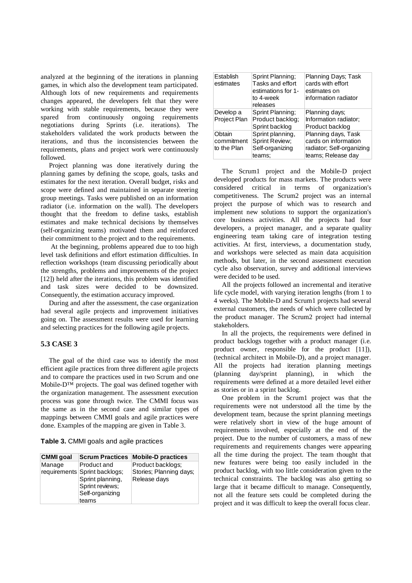analyzed at the beginning of the iterations in planning games, in which also the development team participated. Although lots of new requirements and requirements changes appeared, the developers felt that they were working with stable requirements, because they were spared from continuously ongoing requirements negotiations during Sprints (i.e. iterations). The stakeholders validated the work products between the iterations, and thus the inconsistencies between the requirements, plans and project work were continuously followed.

Project planning was done iteratively during the planning games by defining the scope, goals, tasks and estimates for the next iteration. Overall budget, risks and scope were defined and maintained in separate steering group meetings. Tasks were published on an information radiator (i.e. information on the wall). The developers thought that the freedom to define tasks, establish estimates and make technical decisions by themselves (self-organizing teams) motivated them and reinforced their commitment to the project and to the requirements.

 At the beginning, problems appeared due to too high level task definitions and effort estimation difficulties. In reflection workshops (team discussing periodically about the strengths, problems and improvements of the project [12]) held after the iterations, this problem was identified and task sizes were decided to be downsized. Consequently, the estimation accuracy improved.

During and after the assessment, the case organization had several agile projects and improvement initiatives going on. The assessment results were used for learning and selecting practices for the following agile projects.

# **5.3 CASE 3**

The goal of the third case was to identify the most efficient agile practices from three different agile projects and to compare the practices used in two Scrum and one Mobile-D™ projects. The goal was defined together with the organization management. The assessment execution process was gone through twice. The CMMI focus was the same as in the second case and similar types of mappings between CMMI goals and agile practices were done. Examples of the mapping are given in Table 3.

|  |  |  |  |  | Table 3. CMMI goals and agile practices |
|--|--|--|--|--|-----------------------------------------|
|--|--|--|--|--|-----------------------------------------|

| <b>CMMI</b> goal |                               | <b>Scrum Practices Mobile-D practices</b> |
|------------------|-------------------------------|-------------------------------------------|
| Manage           | Product and                   | Product backlogs:                         |
|                  | requirements Sprint backlogs; | Stories; Planning days;                   |
|                  | Sprint planning,              | Release days                              |
|                  | Sprint reviews;               |                                           |
|                  | Self-organizing               |                                           |
|                  | teams                         |                                           |

| Establish<br>estimates              | Sprint Planning:<br>Tasks and effort<br>estimations for 1-<br>to 4-week<br>releases | Planning Days: Task<br>cards with effort<br>estimates on<br>information radiator               |
|-------------------------------------|-------------------------------------------------------------------------------------|------------------------------------------------------------------------------------------------|
| Develop a<br>Project Plan           | Sprint Planning:<br>Product backlog:<br>Sprint backlog                              | Planning days;<br>Information radiator;<br>Product backlog                                     |
| Obtain<br>commitment<br>to the Plan | Sprint planning,<br>Sprint Review:<br>Self-organizing<br>teams:                     | Planning days, Task<br>cards on information<br>radiator; Self-organizing<br>teams; Release day |

The Scrum1 project and the Mobile-D project developed products for mass markets. The products were considered critical in terms of organization's competitiveness. The Scrum2 project was an internal project the purpose of which was to research and implement new solutions to support the organization's core business activities. All the projects had four developers, a project manager, and a separate quality engineering team taking care of integration testing activities. At first, interviews, a documentation study, and workshops were selected as main data acquisition methods, but later, in the second assessment execution cycle also observation, survey and additional interviews were decided to be used.

All the projects followed an incremental and iterative life cycle model, with varying iteration lengths (from 1 to 4 weeks). The Mobile-D and Scrum1 projects had several external customers, the needs of which were collected by the product manager. The Scrum2 project had internal stakeholders.

In all the projects, the requirements were defined in product backlogs together with a product manager (i.e. product owner, responsible for the product [11]), (technical architect in Mobile-D), and a project manager. All the projects had iteration planning meetings (planning day/sprint planning), in which the requirements were defined at a more detailed level either as stories or in a sprint backlog.

One problem in the Scrum1 project was that the requirements were not understood all the time by the development team, because the sprint planning meetings were relatively short in view of the huge amount of requirements involved, especially at the end of the project. Due to the number of customers, a mass of new requirements and requirements changes were appearing all the time during the project. The team thought that new features were being too easily included in the product backlog, with too little consideration given to the technical constraints. The backlog was also getting so large that it became difficult to manage. Consequently, not all the feature sets could be completed during the project and it was difficult to keep the overall focus clear.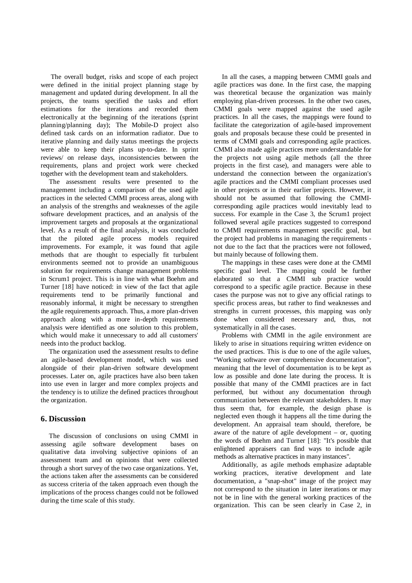The overall budget, risks and scope of each project were defined in the initial project planning stage by management and updated during development. In all the projects, the teams specified the tasks and effort estimations for the iterations and recorded them electronically at the beginning of the iterations (sprint planning/planning day); The Mobile-D project also defined task cards on an information radiator. Due to iterative planning and daily status meetings the projects were able to keep their plans up-to-date. In sprint reviews/ on release days, inconsistencies between the requirements, plans and project work were checked together with the development team and stakeholders.

The assessment results were presented to the management including a comparison of the used agile practices in the selected CMMI process areas, along with an analysis of the strengths and weaknesses of the agile software development practices, and an analysis of the improvement targets and proposals at the organizational level. As a result of the final analysis, it was concluded that the piloted agile process models required improvements. For example, it was found that agile methods that are thought to especially fit turbulent environments seemed not to provide an unambiguous solution for requirements change management problems in Scrum1 project. This is in line with what Boehm and Turner [18] have noticed: in view of the fact that agile requirements tend to be primarily functional and reasonably informal, it might be necessary to strengthen the agile requirements approach. Thus, a more plan-driven approach along with a more in-depth requirements analysis were identified as one solution to this problem, which would make it unnecessary to add all customers' needs into the product backlog.

The organization used the assessment results to define an agile-based development model, which was used alongside of their plan-driven software development processes. Later on, agile practices have also been taken into use even in larger and more complex projects and the tendency is to utilize the defined practices throughout the organization.

### **6. Discussion**

The discussion of conclusions on using CMMI in assessing agile software development bases on qualitative data involving subjective opinions of an assessment team and on opinions that were collected through a short survey of the two case organizations. Yet, the actions taken after the assessments can be considered as success criteria of the taken approach even though the implications of the process changes could not be followed during the time scale of this study.

In all the cases, a mapping between CMMI goals and agile practices was done. In the first case, the mapping was theoretical because the organization was mainly employing plan-driven processes. In the other two cases, CMMI goals were mapped against the used agile practices. In all the cases, the mappings were found to facilitate the categorization of agile-based improvement goals and proposals because these could be presented in terms of CMMI goals and corresponding agile practices. CMMI also made agile practices more understandable for the projects not using agile methods (all the three projects in the first case), and managers were able to understand the connection between the organization's agile practices and the CMMI compliant processes used in other projects or in their earlier projects. However, it should not be assumed that following the CMMIcorresponding agile practices would inevitably lead to success. For example in the Case 3, the Scrum1 project followed several agile practices suggested to correspond to CMMI requirements management specific goal, but the project had problems in managing the requirements not due to the fact that the practices were not followed, but mainly because of following them.

The mappings in these cases were done at the CMMI specific goal level. The mapping could be further elaborated so that a CMMI sub practice would correspond to a specific agile practice. Because in these cases the purpose was not to give any official ratings to specific process areas, but rather to find weaknesses and strengths in current processes, this mapping was only done when considered necessary and, thus, not systematically in all the cases.

Problems with CMMI in the agile environment are likely to arise in situations requiring written evidence on the used practices. This is due to one of the agile values, "Working software over comprehensive documentation", meaning that the level of documentation is to be kept as low as possible and done late during the process. It is possible that many of the CMMI practices are in fact performed, but without any documentation through communication between the relevant stakeholders. It may thus seem that, for example, the design phase is neglected even though it happens all the time during the development. An appraisal team should, therefore, be aware of the nature of agile development – or, quoting the words of Boehm and Turner [18]: "It's possible that enlightened appraisers can find ways to include agile methods as alternative practices in many instances".

Additionally, as agile methods emphasize adaptable working practices, iterative development and late documentation, a "snap-shot" image of the project may not correspond to the situation in later iterations or may not be in line with the general working practices of the organization. This can be seen clearly in Case 2, in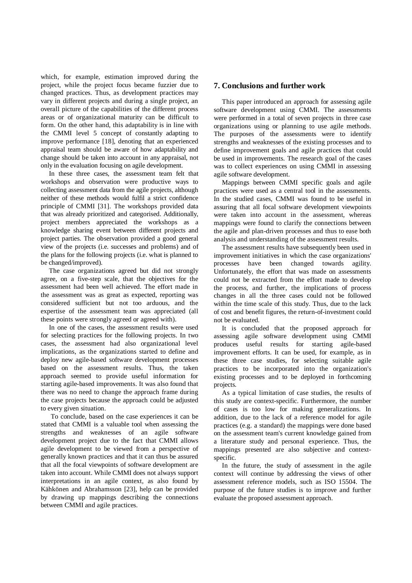which, for example, estimation improved during the project, while the project focus became fuzzier due to changed practices. Thus, as development practices may vary in different projects and during a single project, an overall picture of the capabilities of the different process areas or of organizational maturity can be difficult to form. On the other hand, this adaptability is in line with the CMMI level 5 concept of constantly adapting to improve performance [18], denoting that an experienced appraisal team should be aware of how adaptability and change should be taken into account in any appraisal, not only in the evaluation focusing on agile development.

In these three cases, the assessment team felt that workshops and observation were productive ways to collecting assessment data from the agile projects, although neither of these methods would fulfil a strict confidence principle of CMMI [31]. The workshops provided data that was already prioritized and categorised. Additionally, project members appreciated the workshops as a knowledge sharing event between different projects and project parties. The observation provided a good general view of the projects (i.e. successes and problems) and of the plans for the following projects (i.e. what is planned to be changed/improved).

The case organizations agreed but did not strongly agree, on a five-step scale, that the objectives for the assessment had been well achieved. The effort made in the assessment was as great as expected, reporting was considered sufficient but not too arduous, and the expertise of the assessment team was appreciated (all these points were strongly agreed or agreed with).

In one of the cases, the assessment results were used for selecting practices for the following projects. In two cases, the assessment had also organizational level implications, as the organizations started to define and deploy new agile-based software development processes based on the assessment results. Thus, the taken approach seemed to provide useful information for starting agile-based improvements. It was also found that there was no need to change the approach frame during the case projects because the approach could be adjusted to every given situation.

 To conclude, based on the case experiences it can be stated that CMMI is a valuable tool when assessing the strengths and weaknesses of an agile software development project due to the fact that CMMI allows agile development to be viewed from a perspective of generally known practices and that it can thus be assured that all the focal viewpoints of software development are taken into account. While CMMI does not always support interpretations in an agile context, as also found by Kähkönen and Abrahamsson [23], help can be provided by drawing up mappings describing the connections between CMMI and agile practices.

### **7. Conclusions and further work**

This paper introduced an approach for assessing agile software development using CMMI. The assessments were performed in a total of seven projects in three case organizations using or planning to use agile methods. The purposes of the assessments were to identify strengths and weaknesses of the existing processes and to define improvement goals and agile practices that could be used in improvements. The research goal of the cases was to collect experiences on using CMMI in assessing agile software development.

Mappings between CMMI specific goals and agile practices were used as a central tool in the assessments. In the studied cases, CMMI was found to be useful in assuring that all focal software development viewpoints were taken into account in the assessment, whereas mappings were found to clarify the connections between the agile and plan-driven processes and thus to ease both analysis and understanding of the assessment results.

The assessment results have subsequently been used in improvement initiatives in which the case organizations' processes have been changed towards agility. Unfortunately, the effort that was made on assessments could not be extracted from the effort made to develop the process, and further, the implications of process changes in all the three cases could not be followed within the time scale of this study. Thus, due to the lack of cost and benefit figures, the return-of-investment could not be evaluated.

It is concluded that the proposed approach for assessing agile software development using CMMI produces useful results for starting agile-based improvement efforts. It can be used, for example, as in these three case studies, for selecting suitable agile practices to be incorporated into the organization's existing processes and to be deployed in forthcoming projects.

As a typical limitation of case studies, the results of this study are context-specific. Furthermore, the number of cases is too low for making generalizations. In addition, due to the lack of a reference model for agile practices (e.g. a standard) the mappings were done based on the assessment team's current knowledge gained from a literature study and personal experience. Thus, the mappings presented are also subjective and contextspecific.

In the future, the study of assessment in the agile context will continue by addressing the views of other assessment reference models, such as ISO 15504. The purpose of the future studies is to improve and further evaluate the proposed assessment approach.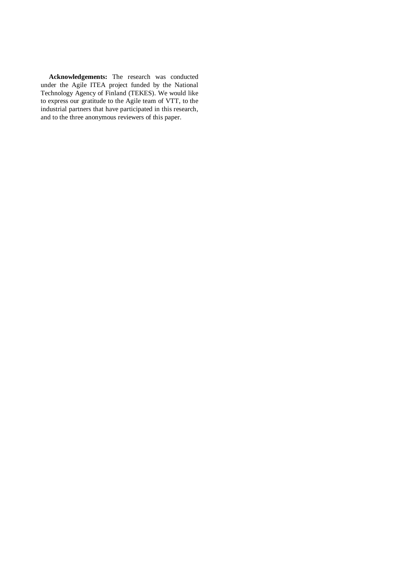**Acknowledgements:** The research was conducted under the Agile ITEA project funded by the National Technology Agency of Finland (TEKES). We would like to express our gratitude to the Agile team of VTT, to the industrial partners that have participated in this research, and to the three anonymous reviewers of this paper.